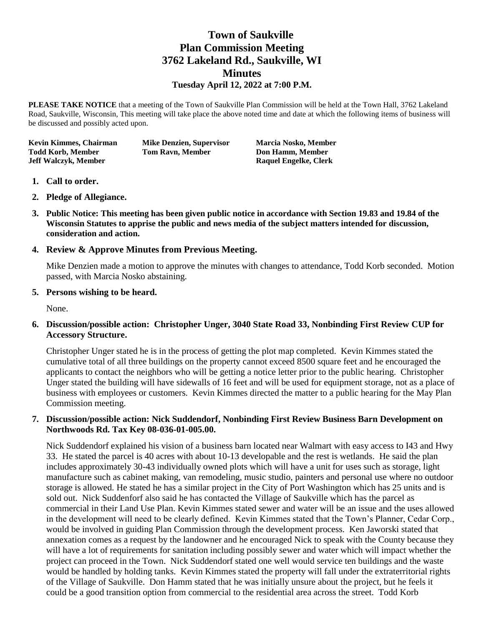# **Town of Saukville Plan Commission Meeting 3762 Lakeland Rd., Saukville, WI Minutes Tuesday April 12, 2022 at 7:00 P.M.**

**PLEASE TAKE NOTICE** that a meeting of the Town of Saukville Plan Commission will be held at the Town Hall, 3762 Lakeland Road, Saukville, Wisconsin, This meeting will take place the above noted time and date at which the following items of business will be discussed and possibly acted upon.

**Kevin Kimmes, Chairman Mike Denzien, Supervisor Marcia Nosko, Member Todd Korb, Member Tom Ravn, Member Don Hamm, Member Jeff Walczyk, Member Raquel Engelke, Clerk**

- **1. Call to order.**
- **2. Pledge of Allegiance.**
- **3. Public Notice: This meeting has been given public notice in accordance with Section 19.83 and 19.84 of the Wisconsin Statutes to apprise the public and news media of the subject matters intended for discussion, consideration and action.**

# **4. Review & Approve Minutes from Previous Meeting.**

Mike Denzien made a motion to approve the minutes with changes to attendance, Todd Korb seconded. Motion passed, with Marcia Nosko abstaining.

## **5. Persons wishing to be heard.**

None.

# **6. Discussion/possible action: Christopher Unger, 3040 State Road 33, Nonbinding First Review CUP for Accessory Structure.**

Christopher Unger stated he is in the process of getting the plot map completed. Kevin Kimmes stated the cumulative total of all three buildings on the property cannot exceed 8500 square feet and he encouraged the applicants to contact the neighbors who will be getting a notice letter prior to the public hearing. Christopher Unger stated the building will have sidewalls of 16 feet and will be used for equipment storage, not as a place of business with employees or customers. Kevin Kimmes directed the matter to a public hearing for the May Plan Commission meeting.

## **7. Discussion/possible action: Nick Suddendorf, Nonbinding First Review Business Barn Development on Northwoods Rd. Tax Key 08-036-01-005.00.**

Nick Suddendorf explained his vision of a business barn located near Walmart with easy access to I43 and Hwy 33. He stated the parcel is 40 acres with about 10-13 developable and the rest is wetlands. He said the plan includes approximately 30-43 individually owned plots which will have a unit for uses such as storage, light manufacture such as cabinet making, van remodeling, music studio, painters and personal use where no outdoor storage is allowed. He stated he has a similar project in the City of Port Washington which has 25 units and is sold out. Nick Suddenforf also said he has contacted the Village of Saukville which has the parcel as commercial in their Land Use Plan. Kevin Kimmes stated sewer and water will be an issue and the uses allowed in the development will need to be clearly defined. Kevin Kimmes stated that the Town's Planner, Cedar Corp., would be involved in guiding Plan Commission through the development process. Ken Jaworski stated that annexation comes as a request by the landowner and he encouraged Nick to speak with the County because they will have a lot of requirements for sanitation including possibly sewer and water which will impact whether the project can proceed in the Town. Nick Suddendorf stated one well would service ten buildings and the waste would be handled by holding tanks. Kevin Kimmes stated the property will fall under the extraterritorial rights of the Village of Saukville. Don Hamm stated that he was initially unsure about the project, but he feels it could be a good transition option from commercial to the residential area across the street. Todd Korb